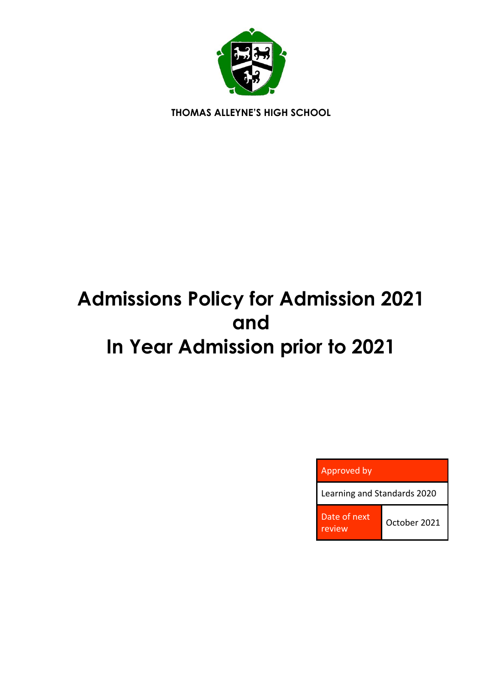

**THOMAS ALLEYNE'S HIGH SCHOOL**

# **Admissions Policy for Admission 2021 and In Year Admission prior to 2021**

| Approved by                 |              |
|-----------------------------|--------------|
| Learning and Standards 2020 |              |
| Date of next<br>review      | October 2021 |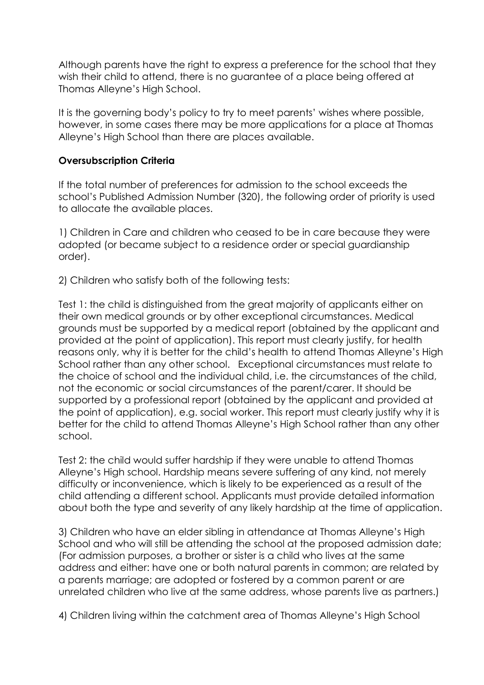Although parents have the right to express a preference for the school that they wish their child to attend, there is no guarantee of a place being offered at Thomas Alleyne's High School.

It is the governing body's policy to try to meet parents' wishes where possible, however, in some cases there may be more applications for a place at Thomas Alleyne's High School than there are places available.

#### **Oversubscription Criteria**

If the total number of preferences for admission to the school exceeds the school's Published Admission Number (320), the following order of priority is used to allocate the available places.

1) Children in Care and children who ceased to be in care because they were adopted (or became subject to a residence order or special guardianship order).

2) Children who satisfy both of the following tests:

Test 1: the child is distinguished from the great majority of applicants either on their own medical grounds or by other exceptional circumstances. Medical grounds must be supported by a medical report (obtained by the applicant and provided at the point of application). This report must clearly justify, for health reasons only, why it is better for the child's health to attend Thomas Alleyne's High School rather than any other school. Exceptional circumstances must relate to the choice of school and the individual child, i.e. the circumstances of the child, not the economic or social circumstances of the parent/carer. It should be supported by a professional report (obtained by the applicant and provided at the point of application), e.g. social worker. This report must clearly justify why it is better for the child to attend Thomas Alleyne's High School rather than any other school.

Test 2: the child would suffer hardship if they were unable to attend Thomas Alleyne's High school. Hardship means severe suffering of any kind, not merely difficulty or inconvenience, which is likely to be experienced as a result of the child attending a different school. Applicants must provide detailed information about both the type and severity of any likely hardship at the time of application.

3) Children who have an elder sibling in attendance at Thomas Alleyne's High School and who will still be attending the school at the proposed admission date; (For admission purposes, a brother or sister is a child who lives at the same address and either: have one or both natural parents in common; are related by a parents marriage; are adopted or fostered by a common parent or are unrelated children who live at the same address, whose parents live as partners.)

4) Children living within the catchment area of Thomas Alleyne's High School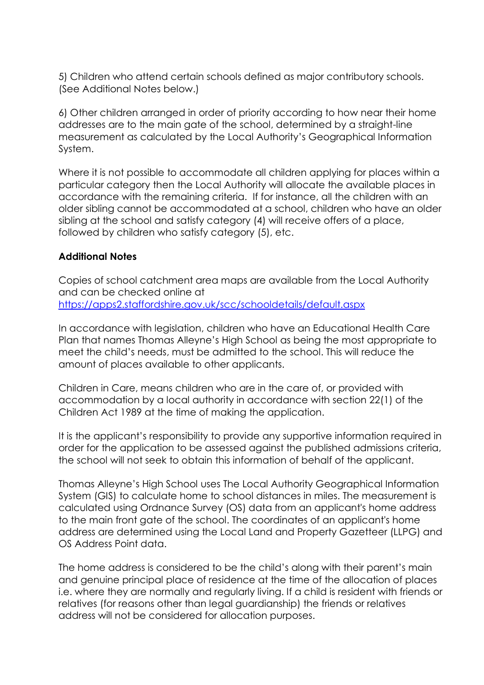5) Children who attend certain schools defined as major contributory schools. (See Additional Notes below.)

6) Other children arranged in order of priority according to how near their home addresses are to the main gate of the school, determined by a straight-line measurement as calculated by the Local Authority's Geographical Information System.

Where it is not possible to accommodate all children applying for places within a particular category then the Local Authority will allocate the available places in accordance with the remaining criteria. If for instance, all the children with an older sibling cannot be accommodated at a school, children who have an older sibling at the school and satisfy category (4) will receive offers of a place, followed by children who satisfy category (5), etc.

## **Additional Notes**

Copies of school catchment area maps are available from the Local Authority and can be checked online at <https://apps2.staffordshire.gov.uk/scc/schooldetails/default.aspx>

In accordance with legislation, children who have an Educational Health Care Plan that names Thomas Alleyne's High School as being the most appropriate to meet the child's needs, must be admitted to the school. This will reduce the amount of places available to other applicants.

Children in Care, means children who are in the care of, or provided with accommodation by a local authority in accordance with section 22(1) of the Children Act 1989 at the time of making the application.

It is the applicant's responsibility to provide any supportive information required in order for the application to be assessed against the published admissions criteria, the school will not seek to obtain this information of behalf of the applicant.

Thomas Alleyne's High School uses The Local Authority Geographical Information System (GIS) to calculate home to school distances in miles. The measurement is calculated using Ordnance Survey (OS) data from an applicant's home address to the main front gate of the school. The coordinates of an applicant's home address are determined using the Local Land and Property Gazetteer (LLPG) and OS Address Point data.

The home address is considered to be the child's along with their parent's main and genuine principal place of residence at the time of the allocation of places i.e. where they are normally and regularly living. If a child is resident with friends or relatives (for reasons other than legal guardianship) the friends or relatives address will not be considered for allocation purposes.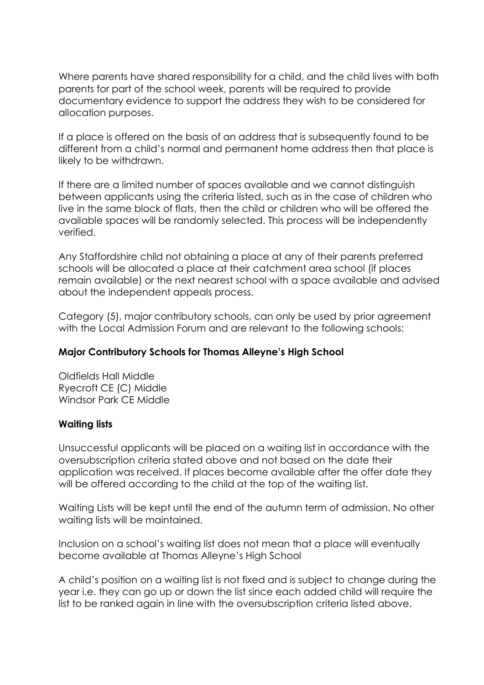Where parents have shared responsibility for a child, and the child lives with both parents for part of the school week, parents will be required to provide documentary evidence to support the address they wish to be considered for allocation purposes.

If a place is offered on the basis of an address that is subsequently found to be different from a child's normal and permanent home address then that place is likely to be withdrawn.

If there are a limited number of spaces available and we cannot distinguish between applicants using the criteria listed, such as in the case of children who live in the same block of flats, then the child or children who will be offered the available spaces will be randomly selected. This process will be independently verified.

Any Staffordshire child not obtaining a place at any of their parents preferred schools will be allocated a place at their catchment area school (if places remain available) or the next nearest school with a space available and advised about the independent appeals process.

Category (5), major contributory schools, can only be used by prior agreement with the Local Admission Forum and are relevant to the following schools:

# **Major Contributory Schools for Thomas Alleyne's High School**

Oldfields Hall Middle Ryecroft CE (C) Middle Windsor Park CE Middle

## **Waiting lists**

Unsuccessful applicants will be placed on a waiting list in accordance with the oversubscription criteria stated above and not based on the date their application was received. If places become available after the offer date they will be offered according to the child at the top of the waiting list.

Waiting Lists will be kept until the end of the autumn term of admission. No other waiting lists will be maintained.

Inclusion on a school's waiting list does not mean that a place will eventually become available at Thomas Alleyne's High School

A child's position on a waiting list is not fixed and is subject to change during the year i.e. they can go up or down the list since each added child will require the list to be ranked again in line with the oversubscription criteria listed above.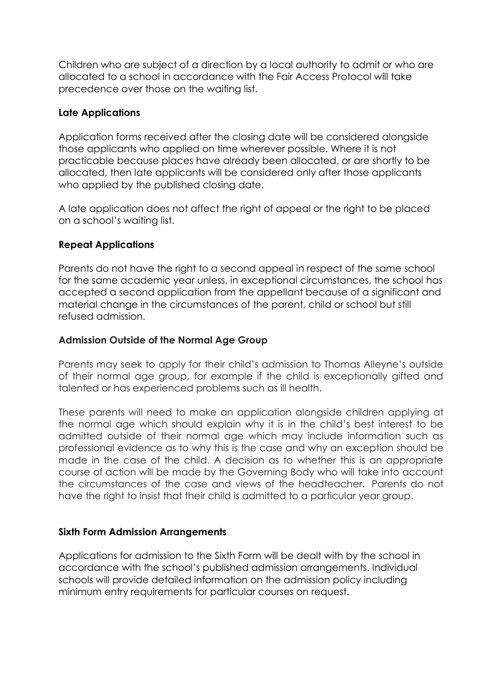Children who are subject of a direction by a local authority to admit or who are allocated to a school in accordance with the Fair Access Protocol will take precedence over those on the waiting list.

## **Late Applications**

Application forms received after the closing date will be considered alongside those applicants who applied on time wherever possible. Where it is not practicable because places have already been allocated, or are shortly to be allocated, then late applicants will be considered only after those applicants who applied by the published closing date.

A late application does not affect the right of appeal or the right to be placed on a school's waiting list.

## **Repeat Applications**

Parents do not have the right to a second appeal in respect of the same school for the same academic year unless, in exceptional circumstances, the school has accepted a second application from the appellant because of a significant and material change in the circumstances of the parent, child or school but still refused admission.

## **Admission Outside of the Normal Age Group**

Parents may seek to apply for their child's admission to Thomas Alleyne's outside of their normal age group, for example if the child is exceptionally gifted and talented or has experienced problems such as ill health.

These parents will need to make an application alongside children applying at the normal age which should explain why it is in the child's best interest to be admitted outside of their normal age which may include information such as professional evidence as to why this is the case and why an exception should be made in the case of the child. A decision as to whether this is an appropriate course of action will be made by the Governing Body who will take into account the circumstances of the case and views of the headteacher. Parents do not have the right to insist that their child is admitted to a particular year group.

## **Sixth Form Admission Arrangements**

Applications for admission to the Sixth Form will be dealt with by the school in accordance with the school's published admission arrangements. Individual schools will provide detailed information on the admission policy including minimum entry requirements for particular courses on request.